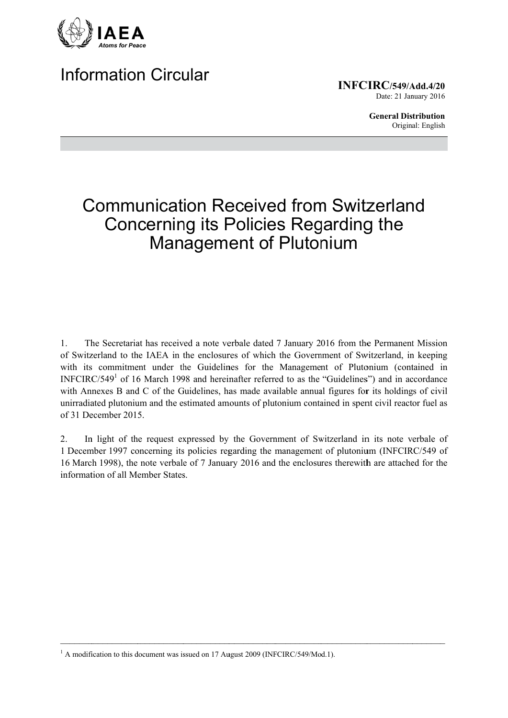

## **Information Circular**

**INFCIRC/549/Add.4/20** Date: 21 January 2016

> **General Distribution** Original: English

# **Communication Received from Switzerland Concerning its Policies Regarding the** Management of Plutonium

The Secretariat has received a note verbale dated 7 January 2016 from the Permanent Mission  $1<sub>1</sub>$ of Switzerland to the IAEA in the enclosures of which the Government of Switzerland, in keeping with its commitment under the Guidelines for the Management of Plutonium (contained in INFCIRC/549<sup>1</sup> of 16 March 1998 and hereinafter referred to as the "Guidelines") and in accordance with Annexes B and C of the Guidelines, has made available annual figures for its holdings of civil unirradiated plutonium and the estimated amounts of plutonium contained in spent civil reactor fuel as of 31 December 2015.

In light of the request expressed by the Government of Switzerland in its note verbale of  $2.$ 1 December 1997 concerning its policies regarding the management of plutonium (INFCIRC/549 of 16 March 1998), the note verbale of 7 January 2016 and the enclosures therewith are attached for the information of all Member States

<sup>&</sup>lt;sup>1</sup> A modification to this document was issued on 17 August 2009 (INFCIRC/549/Mod.1).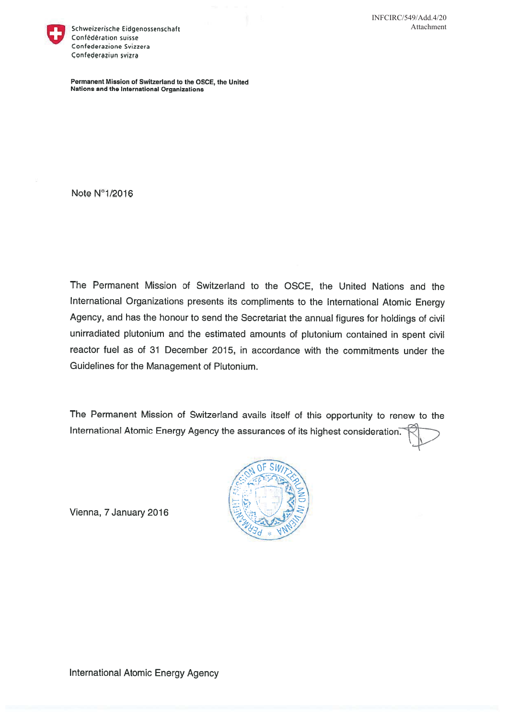

Schweizerische Eidgenossenschaft Confédération suisse Confederazione Svizzera Confederaziun svizra

Permanent Mission of Switzerland to the OSCE, the United Nations and the International Organizations

Note N°1/2016

The Permanent Mission of Switzerland to the OSCE, the United Nations and the International Organizations presents its compliments to the International Atomic Energy Agency, and has the honour to send the Secretariat the annual figures for holdings of civil unirradiated plutonium and the estimated amounts of plutonium contained in spent civil reactor fuel as of 31 December 2015, in accordance with the commitments under the Guidelines for the Management of Plutonium.

The Permanent Mission of Switzerland avails itself of this opportunity to renew to the International Atomic Energy Agency the assurances of its highest consideration.



Vienna, 7 January 2016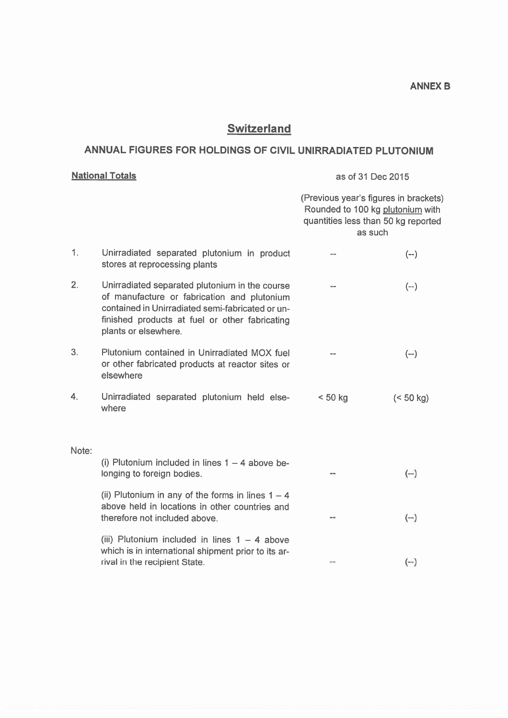## **Switzerland**

### ANNUAL FIGURES FOR HOLDINGS OF CIVIL UNIRRADIATED PLUTONIUM

### **National Totals**

#### as of 31 Dec 2015

|       |                                                                                                                                                                                                                             | (Previous year's figures in brackets)<br>Rounded to 100 kg plutonium with<br>quantities less than 50 kg reported<br>as such |           |
|-------|-----------------------------------------------------------------------------------------------------------------------------------------------------------------------------------------------------------------------------|-----------------------------------------------------------------------------------------------------------------------------|-----------|
| 1.    | Unirradiated separated plutonium in product<br>stores at reprocessing plants                                                                                                                                                |                                                                                                                             | $(--)$    |
| 2.    | Unirradiated separated plutonium in the course<br>of manufacture or fabrication and plutonium<br>contained in Unirradiated semi-fabricated or un-<br>finished products at fuel or other fabricating<br>plants or elsewhere. |                                                                                                                             | $(-)$     |
| 3.    | Plutonium contained in Unirradiated MOX fuel<br>or other fabricated products at reactor sites or<br>elsewhere                                                                                                               |                                                                                                                             | $(-)$     |
| 4.    | Unirradiated separated plutonium held else-<br>where                                                                                                                                                                        | < 50 kg                                                                                                                     | (< 50 kg) |
| Note: |                                                                                                                                                                                                                             |                                                                                                                             |           |
|       | (i) Plutonium included in lines $1 - 4$ above be-<br>longing to foreign bodies.                                                                                                                                             |                                                                                                                             | $(-)$     |
|       | (ii) Plutonium in any of the forms in lines $1 - 4$<br>above held in locations in other countries and<br>therefore not included above.                                                                                      | --                                                                                                                          | $(-)$     |
|       | (iii) Plutonium included in lines $1 - 4$ above<br>which is in international shipment prior to its ar-<br>rival in the recipient State.                                                                                     |                                                                                                                             | $(--)$    |